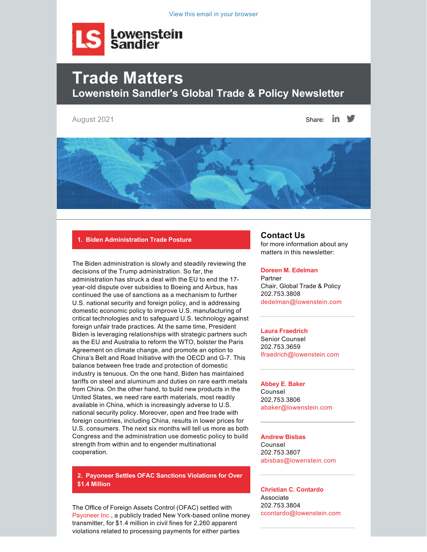

# **Trade Matters Lowenstein Sandler's Global Trade & Policy Newsletter**

August 2021  $\blacksquare$ 



## **1. Biden Administration Trade Posture**

The Biden administration is slowly and steadily reviewing the decisions of the Trump administration. So far, the administration has struck a deal with the EU to end the 17 year-old dispute over subsidies to Boeing and Airbus, has continued the use of sanctions as a mechanism to further U.S. national security and foreign policy, and is addressing domestic economic policy to improve U.S. manufacturing of critical technologies and to safeguard U.S. technology against foreign unfair trade practices. At the same time, President Biden is leveraging relationships with strategic partners such as the EU and Australia to reform the WTO, bolster the Paris Agreement on climate change, and promote an option to China's Belt and Road Initiative with the OECD and G-7. This balance between free trade and protection of domestic industry is tenuous. On the one hand, Biden has maintained tariffs on steel and aluminum and duties on rare earth metals from China. On the other hand, to build new products in the United States, we need rare earth materials, most readily available in China, which is increasingly adverse to U.S. national security policy. Moreover, open and free trade with foreign countries, including China, results in lower prices for U.S. consumers. The next six months will tell us more as both Congress and the administration use domestic policy to build strength from within and to engender multinational cooperation.

**2. Payoneer Settles OFAC Sanctions Violations for Over \$1.4 Million**

The Office of Foreign Assets Control (OFAC) settled with [Payoneer Inc.](https://home.treasury.gov/system/files/126/20210723_payoneer_inc.pdf), a publicly traded New York-based online money transmitter, for \$1.4 million in civil fines for 2,260 apparent violations related to processing payments for either parties

# **Contact Us**

for more information about any matters in this newsletter:

#### **[Doreen M. Edelman](https://www.lowenstein.com/people/attorneys/doreen-edelman)**

**Partner** Chair, Global Trade & Policy 202.753.3808 [dedelman@lowenstein.com](https://my.lowenstein.com/16/3201/compose-email/dedelman@lowenstein.com)

#### **[Laura Fraedrich](https://www.lowenstein.com/people/attorneys/laura-fraedrich)**

Senior Counsel 202.753.3659 [lfraedrich@lowenstein.com](mailto:lfraedrich@lowenstein.com)

# **[Abbey E. Baker](https://www.lowenstein.com/people/attorneys/abbey-baker)**

Counsel 202.753.3806 [abaker@lowenstein.com](mailto:abaker@lowenstein.com)

## **[Andrew Bisbas](https://www.lowenstein.com/people/attorneys/andrew-bisbas)** Counsel

202.753.3807 [abisbas@lowenstein.com](mailto:abisbas@lowenstein.com)

**[Christian C. Contardo](https://www.lowenstein.com/people/attorneys/christian-contardo)** Associate 202.753.3804 [ccontardo@lowenstein.com](mailto:ccontardo@lowenstein.com)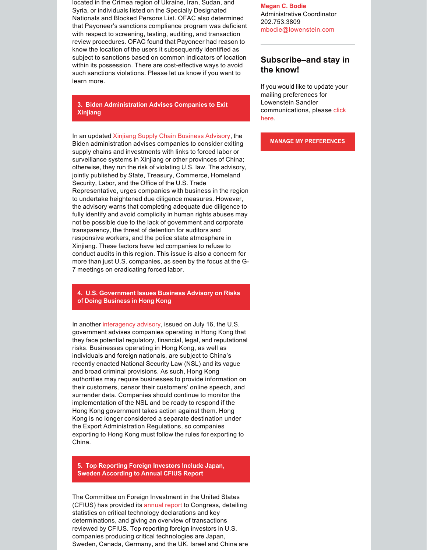located in the Crimea region of Ukraine, Iran, Sudan, and Syria, or individuals listed on the Specially Designated Nationals and Blocked Persons List. OFAC also determined that Payoneer's sanctions compliance program was deficient with respect to screening, testing, auditing, and transaction review procedures. OFAC found that Payoneer had reason to know the location of the users it subsequently identified as subject to sanctions based on common indicators of location within its possession. There are cost-effective ways to avoid such sanctions violations. Please let us know if you want to learn more.

**3. Biden Administration Advises Companies to Exit Xinjiang**

In an updated [Xinjiang Supply Chain Business Advisory](https://www.state.gov/wp-content/uploads/2021/07/Xinjiang-Business-Advisory-13July2021-1.pdf), the Biden administration advises companies to consider exiting supply chains and investments with links to forced labor or surveillance systems in Xinjiang or other provinces of China; otherwise, they run the risk of violating U.S. law. The advisory, jointly published by State, Treasury, Commerce, Homeland Security, Labor, and the Office of the U.S. Trade Representative, urges companies with business in the region to undertake heightened due diligence measures. However, the advisory warns that completing adequate due diligence to fully identify and avoid complicity in human rights abuses may not be possible due to the lack of government and corporate transparency, the threat of detention for auditors and responsive workers, and the police state atmosphere in Xinjiang. These factors have led companies to refuse to conduct audits in this region. This issue is also a concern for more than just U.S. companies, as seen by the focus at the G-7 meetings on eradicating forced labor.

**4. U.S. Government Issues Business Advisory on Risks of Doing Business in Hong Kong**

In another [interagency advisory,](https://home.treasury.gov/system/files/126/20210716_hong_kong_advisory.pdf) issued on July 16, the U.S. government advises companies operating in Hong Kong that they face potential regulatory, financial, legal, and reputational risks. Businesses operating in Hong Kong, as well as individuals and foreign nationals, are subject to China's recently enacted National Security Law (NSL) and its vague and broad criminal provisions. As such, Hong Kong authorities may require businesses to provide information on their customers, censor their customers' online speech, and surrender data. Companies should continue to monitor the implementation of the NSL and be ready to respond if the Hong Kong government takes action against them. Hong Kong is no longer considered a separate destination under the Export Administration Regulations, so companies exporting to Hong Kong must follow the rules for exporting to China.

**5. Top Reporting Foreign Investors Include Japan, Sweden According to Annual CFIUS Report**

The Committee on Foreign Investment in the United States (CFIUS) has provided its [annual report](https://home.treasury.gov/system/files/206/CFIUS-Public-Annual-Report-CY-2020.pdf) to Congress, detailing statistics on critical technology declarations and key determinations, and giving an overview of transactions reviewed by CFIUS. Top reporting foreign investors in U.S. companies producing critical technologies are Japan, Sweden, Canada, Germany, and the UK. Israel and China are **[Megan C. Bodie](https://www.lowenstein.com/people/attorneys/megan-bodie)** Administrative Coordinator 202.753.3809 [mbodie@lowenstein.com](mailto:mbodie@lowenstein.com)

# **Subscribe–and stay in the know!**

If you would like to update your mailing preferences for Lowenstein Sandler communications, please [click](https://my.lowenstein.com/v/p1v6r6v) [here.](https://my.lowenstein.com/v/p1v6r6v)

**[MANAGE MY PREFERENCES](https://my.lowenstein.com/v/p1v6r6v)**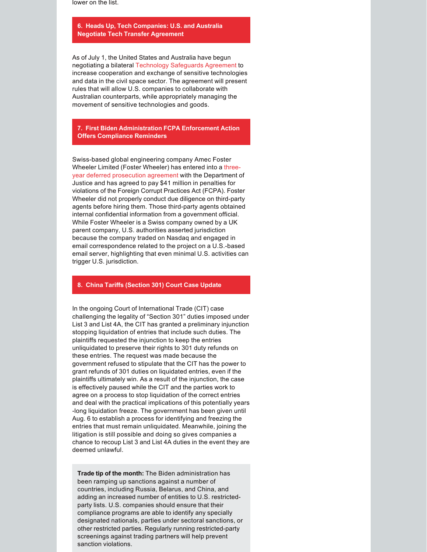lower on the list.

### **6. Heads Up, Tech Companies: U.S. and Australia Negotiate Tech Transfer Agreement**

As of July 1, the United States and Australia have begun negotiating a bilateral [Technology Safeguards Agreement](file:///C:/Users/frae6003/AppData/Local/Microsoft/Windows/INetCache/Content.Outlook/STR9SO35/foreignminister.gov.au/minister/marise-payne/media-release/new-measures-help-grow-australias-civil-space-sector) to increase cooperation and exchange of sensitive technologies and data in the civil space sector. The agreement will present rules that will allow U.S. companies to collaborate with Australian counterparts, while appropriately managing the movement of sensitive technologies and goods.

**7. First Biden Administration FCPA Enforcement Action Offers Compliance Reminders**

Swiss-based global engineering company Amec Foster Wheeler Limited (Foster Wheeler) has entered into a [three](https://www.justice.gov/opa/pr/amec-foster-wheeler-energy-limited-agrees-pay-over-18-million-resolve-charges-related-bribery)[year deferred prosecution agreement](https://www.justice.gov/opa/pr/amec-foster-wheeler-energy-limited-agrees-pay-over-18-million-resolve-charges-related-bribery) with the Department of Justice and has agreed to pay \$41 million in penalties for violations of the Foreign Corrupt Practices Act (FCPA). Foster Wheeler did not properly conduct due diligence on third-party agents before hiring them. Those third-party agents obtained internal confidential information from a government official. While Foster Wheeler is a Swiss company owned by a UK parent company, U.S. authorities asserted jurisdiction because the company traded on Nasdaq and engaged in email correspondence related to the project on a U.S.-based email server, highlighting that even minimal U.S. activities can trigger U.S. jurisdiction.

## **8. China Tariffs (Section 301) Court Case Update**

In the ongoing Court of International Trade (CIT) case challenging the legality of "Section 301" duties imposed under List 3 and List 4A, the CIT has granted a preliminary injunction stopping liquidation of entries that include such duties. The plaintiffs requested the injunction to keep the entries unliquidated to preserve their rights to 301 duty refunds on these entries. The request was made because the government refused to stipulate that the CIT has the power to grant refunds of 301 duties on liquidated entries, even if the plaintiffs ultimately win. As a result of the injunction, the case is effectively paused while the CIT and the parties work to agree on a process to stop liquidation of the correct entries and deal with the practical implications of this potentially years long liquidation freeze. The government has been given until Aug. 6 to establish a process for identifying and freezing the entries that must remain unliquidated. Meanwhile, joining the litigation is still possible and doing so gives companies a chance to recoup List 3 and List 4A duties in the event they are deemed unlawful.

**Trade tip of the month:** The Biden administration has been ramping up sanctions against a number of countries, including Russia, Belarus, and China, and adding an increased number of entities to U.S. restrictedparty lists. U.S. companies should ensure that their compliance programs are able to identify any specially designated nationals, parties under sectoral sanctions, or other restricted parties. Regularly running restricted-party screenings against trading partners will help prevent sanction violations.